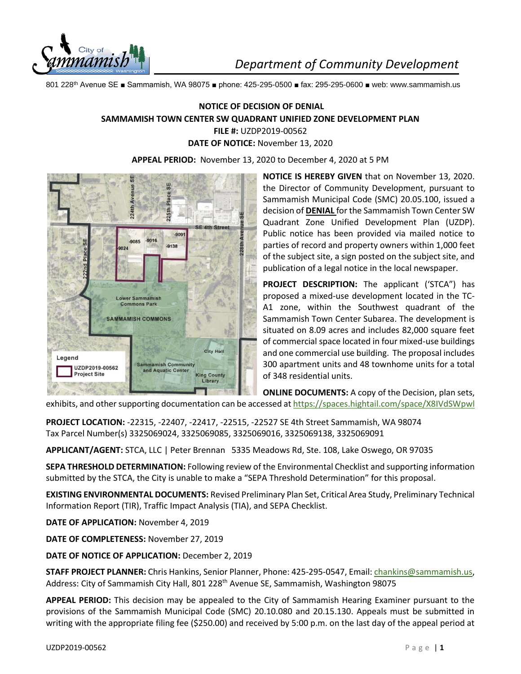

801 228th Avenue SE ■ Sammamish, WA 98075 ■ phone: 425-295-0500 ■ fax: 295-295-0600 ■ web: www.sammamish.us

## **NOTICE OF DECISION OF DENIAL SAMMAMISH TOWN CENTER SW QUADRANT UNIFIED ZONE DEVELOPMENT PLAN FILE #:** UZDP2019-00562 **DATE OF NOTICE:** November 13, 2020

**APPEAL PERIOD:** November 13, 2020 to December 4, 2020 at 5 PM



**NOTICE IS HEREBY GIVEN** that on November 13, 2020. the Director of Community Development, pursuant to Sammamish Municipal Code (SMC) 20.05.100, issued a decision of **DENIAL** for the Sammamish Town Center SW Quadrant Zone Unified Development Plan (UZDP). Public notice has been provided via mailed notice to parties of record and property owners within 1,000 feet of the subject site, a sign posted on the subject site, and publication of a legal notice in the local newspaper.

**PROJECT DESCRIPTION:** The applicant ('STCA") has proposed a mixed-use development located in the TC-A1 zone, within the Southwest quadrant of the Sammamish Town Center Subarea. The development is situated on 8.09 acres and includes 82,000 square feet of commercial space located in four mixed-use buildings and one commercial use building. The proposal includes 300 apartment units and 48 townhome units for a total of 348 residential units.

**ONLINE DOCUMENTS:** A copy of the Decision, plan sets, exhibits, and other supporting documentation can be accessed a[t https://spaces.hightail.com/space/X8IVdSWpwl](https://spaces.hightail.com/space/X8IVdSWpwl)

**PROJECT LOCATION:** -22315, -22407, -22417, -22515, -22527 SE 4th Street Sammamish, WA 98074 Tax Parcel Number(s) 3325069024, 3325069085, 3325069016, 3325069138, 3325069091

**APPLICANT/AGENT:** STCA, LLC | Peter Brennan 5335 Meadows Rd, Ste. 108, Lake Oswego, OR 97035

**SEPA THRESHOLD DETERMINATION:** Following review of the Environmental Checklist and supporting information submitted by the STCA, the City is unable to make a "SEPA Threshold Determination" for this proposal.

**EXISTING ENVIRONMENTAL DOCUMENTS:** Revised Preliminary Plan Set, Critical Area Study, Preliminary Technical Information Report (TIR), Traffic Impact Analysis (TIA), and SEPA Checklist.

**DATE OF APPLICATION:** November 4, 2019

**DATE OF COMPLETENESS:** November 27, 2019

**DATE OF NOTICE OF APPLICATION:** December 2, 2019

**STAFF PROJECT PLANNER:** Chris Hankins, Senior Planner, Phone: 425-295-0547, Email[: chankins@sammamish.us,](mailto:chankins@sammamish.us) Address: City of Sammamish City Hall, 801 228<sup>th</sup> Avenue SE, Sammamish, Washington 98075

**APPEAL PERIOD:** This decision may be appealed to the City of Sammamish Hearing Examiner pursuant to the provisions of the Sammamish Municipal Code (SMC) 20.10.080 and 20.15.130. Appeals must be submitted in writing with the appropriate filing fee (\$250.00) and received by 5:00 p.m. on the last day of the appeal period at